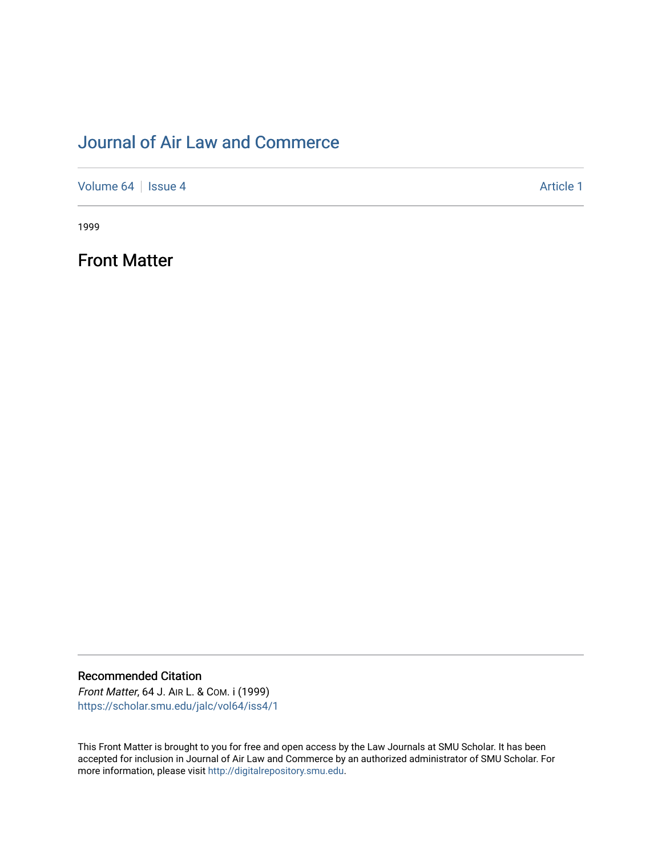## [Journal of Air Law and Commerce](https://scholar.smu.edu/jalc)

[Volume 64](https://scholar.smu.edu/jalc/vol64) | [Issue 4](https://scholar.smu.edu/jalc/vol64/iss4) Article 1

1999

Front Matter

Recommended Citation Front Matter, 64 J. AIR L. & COM. i (1999)

[https://scholar.smu.edu/jalc/vol64/iss4/1](https://scholar.smu.edu/jalc/vol64/iss4/1?utm_source=scholar.smu.edu%2Fjalc%2Fvol64%2Fiss4%2F1&utm_medium=PDF&utm_campaign=PDFCoverPages) 

This Front Matter is brought to you for free and open access by the Law Journals at SMU Scholar. It has been accepted for inclusion in Journal of Air Law and Commerce by an authorized administrator of SMU Scholar. For more information, please visit [http://digitalrepository.smu.edu](http://digitalrepository.smu.edu/).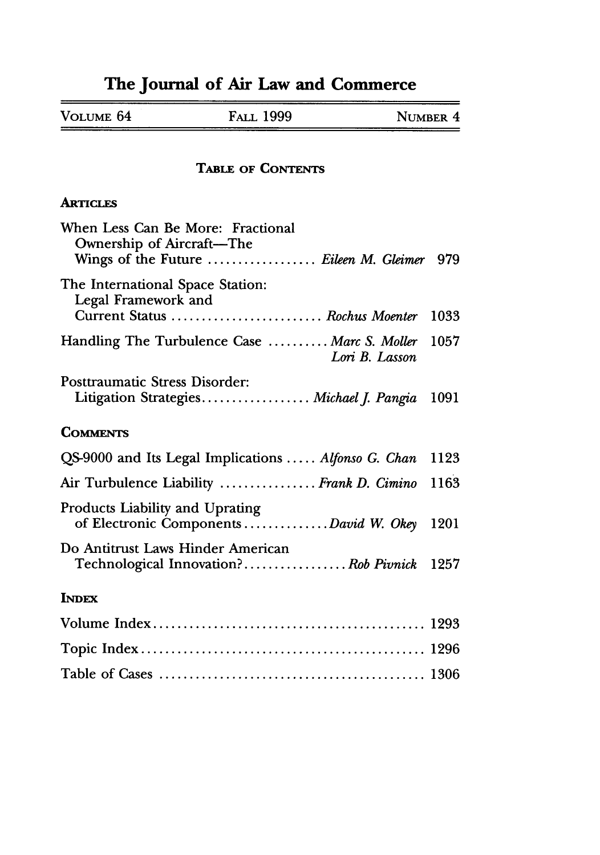# **The Journal of Air Law and Commerce**

 $=$ 

| VOLUME 64 | <b>FALL 1999</b> | NUMBER 4 |
|-----------|------------------|----------|
|           |                  |          |

### **TABLE** OF **CONTENTS**

#### **ARTICLES**

| When Less Can Be More: Fractional<br><b>Ownership of Aircraft-The</b><br>Wings of the Future  Eileen M. Gleimer 979 |      |
|---------------------------------------------------------------------------------------------------------------------|------|
| The International Space Station:<br>Legal Framework and<br>Current Status  Rochus Moenter                           | 1033 |
| Handling The Turbulence Case  Marc S. Moller<br>Lori B. Lasson                                                      | 1057 |
| Posttraumatic Stress Disorder:<br>Litigation Strategies Michael J. Pangia                                           | 1091 |
| <b>COMMENTS</b>                                                                                                     |      |
| QS-9000 and Its Legal Implications  Alfonso G. Chan                                                                 | 1123 |
| Air Turbulence Liability  Frank D. Cimino                                                                           | 1163 |
| Products Liability and Uprating<br>of Electronic Components  David W. Okey                                          | 1201 |
| Do Antitrust Laws Hinder American<br>Technological Innovation? Rob Pivnick                                          | 1257 |
| <b>INDEX</b>                                                                                                        |      |
|                                                                                                                     |      |
|                                                                                                                     |      |
|                                                                                                                     |      |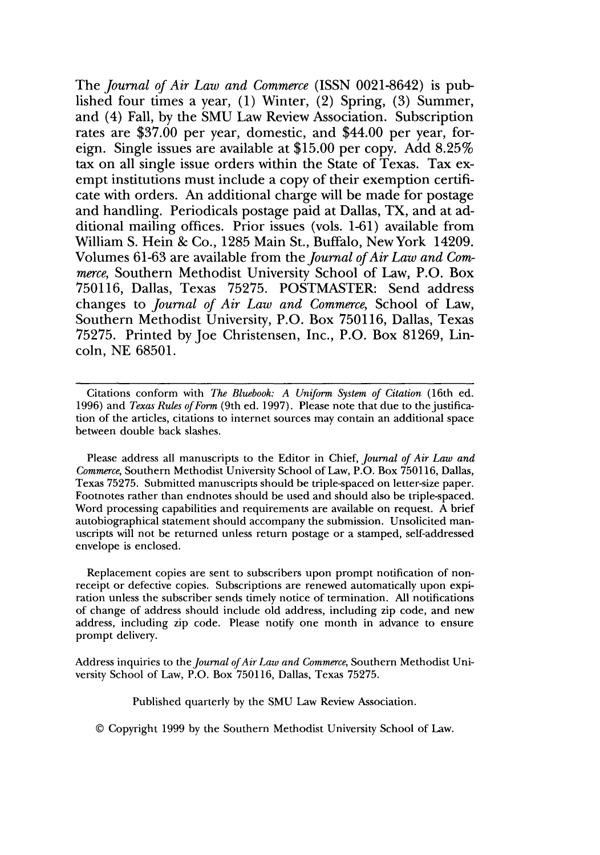The *Journal of Air Law and Commerce* (ISSN 0021-8642) is published four times a year, (1) Winter, (2) Spring, (3) Summer, and (4) Fall, by the SMU Law Review Association. Subscription rates are \$37.00 per year, domestic, and \$44.00 per year, foreign. Single issues are available at \$15.00 per copy. Add 8.25% tax on all single issue orders within the State of Texas. Tax exempt institutions must include a copy of their exemption certificate with orders. An additional charge will be made for postage and handling. Periodicals postage paid at Dallas, TX, and at additional mailing offices. Prior issues (vols. 1-61) available from William S. Hein & Co., 1285 Main St., Buffalo, NewYork 14209. Volumes 61-63 are available from the *Journal of Air Law and Commerce,* Southern Methodist University School of Law, P.O. Box 750116, Dallas, Texas 75275. POSTMASTER: Send address changes to *Journal of Air Law and Commerce,* School of Law, Southern Methodist University, P.O. Box 750116, Dallas, Texas 75275. Printed by Joe Christensen, Inc., P.O. Box 81269, Lincoln, NE 68501.

Citations conform with *The Bluebook: A Uniform System of Citation* (16th ed. 1996) and *Texas Rules ofForm* (9th ed. 1997). Please note that due to the justification of the articles, citations to internet sources may contain an additional space between double back slashes.

Please address all manuscripts to the Editor in Chief, *Journal of Air Law and Commerce,* Southern Methodist University School of Law, P.O. Box 750116, Dallas, Texas 75275. Submitted manuscripts should be triple-spaced on letter-size paper. Footnotes rather than endnotes should be used and should also be triple-spaced. Word processing capabilities and requirements are available on request. A brief autobiographical statement should accompany the submission. Unsolicited manuscripts will not be returned unless return postage or a stamped, self-addressed envelope is enclosed.

Replacement copies are sent to subscribers upon prompt notification of nonreceipt or defective copies. Subscriptions are renewed automatically upon expiration unless the subscriber sends timely notice of termination. All notifications of change of address should include old address, including zip code, and new address, including zip code. Please notify one month in advance to ensure prompt delivery.

Address inquiries to the *Journal of Air Law and Commerce,* Southern Methodist University School of Law, P.O. Box 750116, Dallas, Texas 75275.

Published quarterly by the SMU Law Review Association.

© Copyright 1999 by the Southern Methodist University School of Law.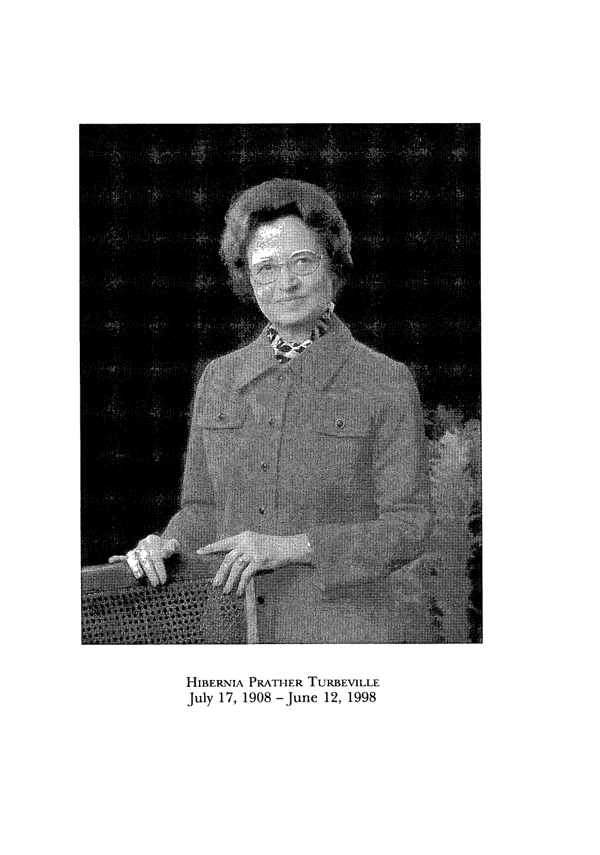

HIBERNIA PRATHER TURBEVILLE July 17, 1908 - June 12, 1998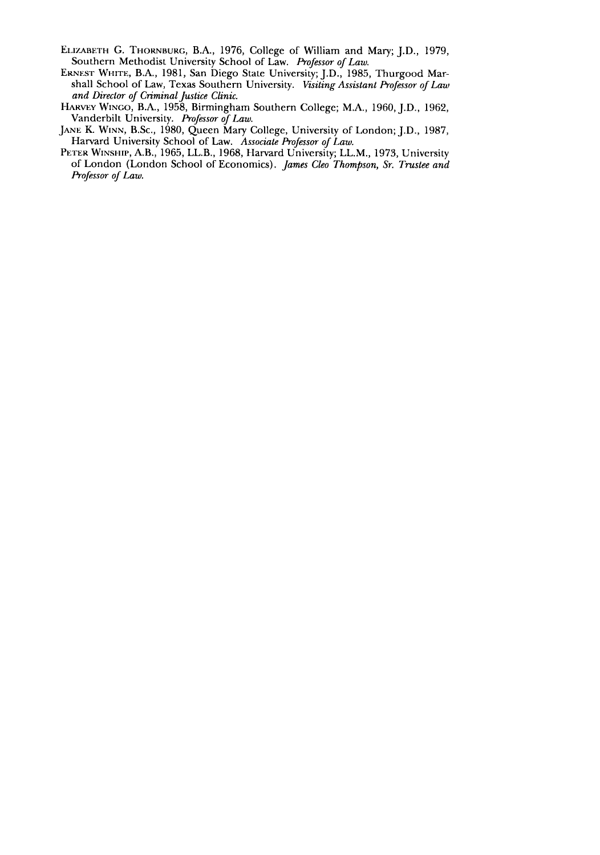- ELIZABETH G. THORNBURG, B.A., 1976, College of William and Mary; J.D., 1979, Southern Methodist University School of Law. Professor of Law.
- ERNEST WHITE, B.A., 1981, San Diego State University; J.D., 1985, Thurgood Marshall School of Law, Texas Southern University. *Visiting Assistant Professor of Law and Director of Criminal Justice Clinic.*
- HARVEY **WINGO,** B.A., 1958, Birmingham Southern College; M.A., 1960, J.D., 1962, Vanderbilt University. *Professor of Law.*
- **JANE** K. **WINN,** B.Sc., 1980, Queen Mary College, University of London; J.D., 1987, Harvard University School of Law. *Associate Professor of Law.*
- PETER WINSHIP, A.B., 1965, LL.B., 1968, Harvard University; LL.M., 1973, University of London (London School of Economics). *James Cleo Thompson, Sr. Trustee and Professor of Law.*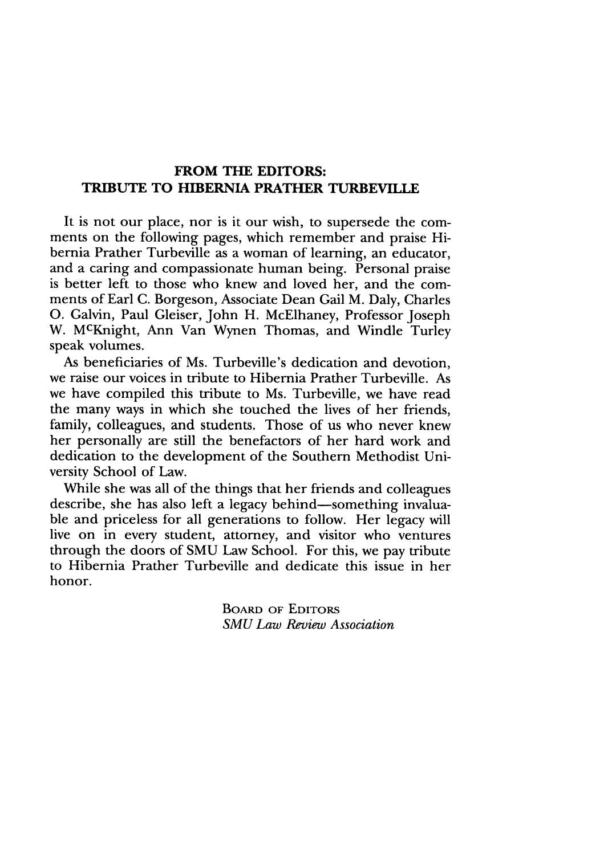## **FROM THE EDITORS: TRIBUTE TO HIBERNIA PRATHER TURBEVILLE**

It is not our place, nor is it our wish, to supersede the comments on the following pages, which remember and praise Hibernia Prather Turbeville as a woman of learning, an educator, and a caring and compassionate human being. Personal praise is better left to those who knew and loved her, and the comments of Earl C. Borgeson, Associate Dean Gail M. Daly, Charles **0.** Galvin, Paul Gleiser, John H. McElhaney, Professor Joseph W. McKnight, Ann Van Wynen Thomas, and Windle Turley speak volumes.

As beneficiaries of Ms. Turbeville's dedication and devotion, we raise our voices in tribute to Hibernia Prather Turbeville. As we have compiled this tribute to Ms. Turbeville, we have read the many ways in which she touched the lives of her friends, family, colleagues, and students. Those of us who never knew her personally are still the benefactors of her hard work and dedication to the development of the Southern Methodist University School of Law.

While she was all of the things that her friends and colleagues describe, she has also left a legacy behind—something invaluable and priceless for all generations to follow. Her legacy will live on in every student, attorney, and visitor who ventures through the doors of SMU Law School. For this, we pay tribute to Hibernia Prather Turbeville and dedicate this issue in her honor.

> **BOARD** OF **EDITORS** *SMU Law Review Association*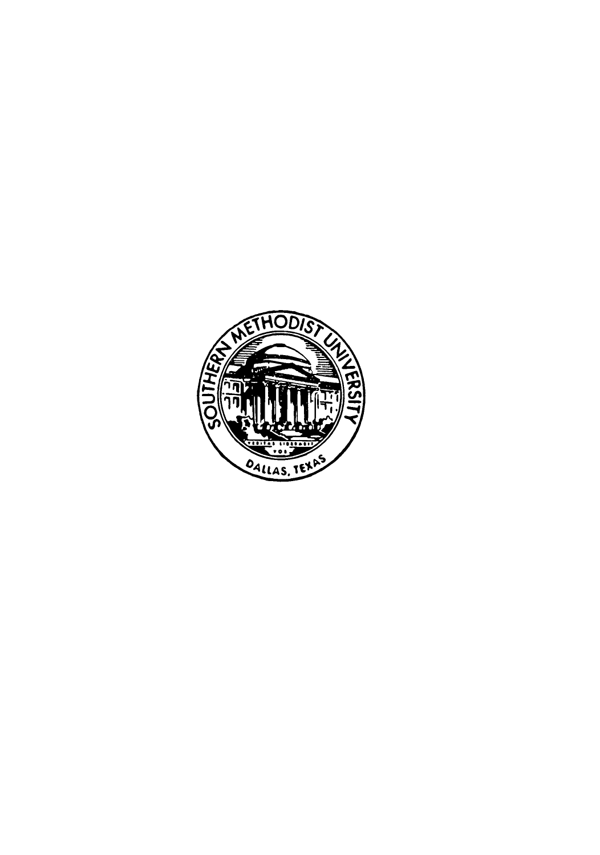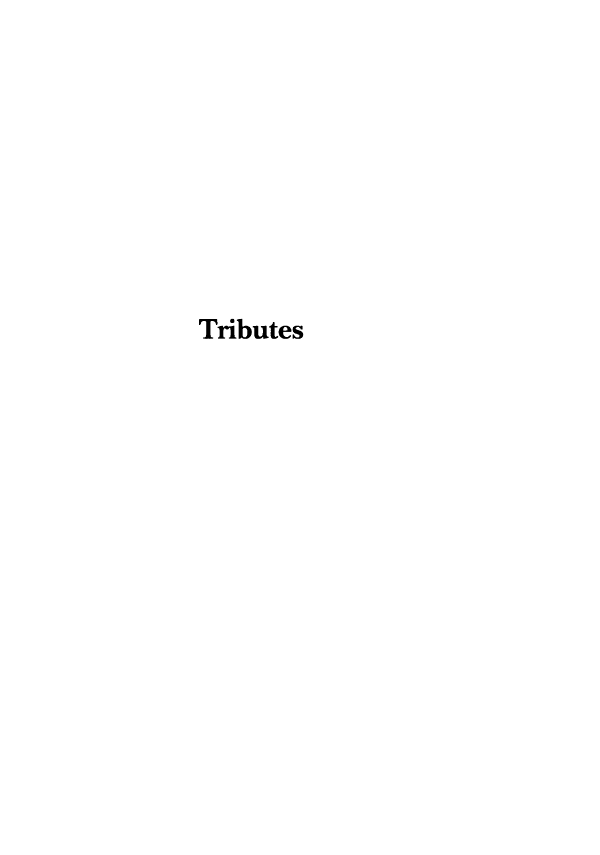# **Tributes**